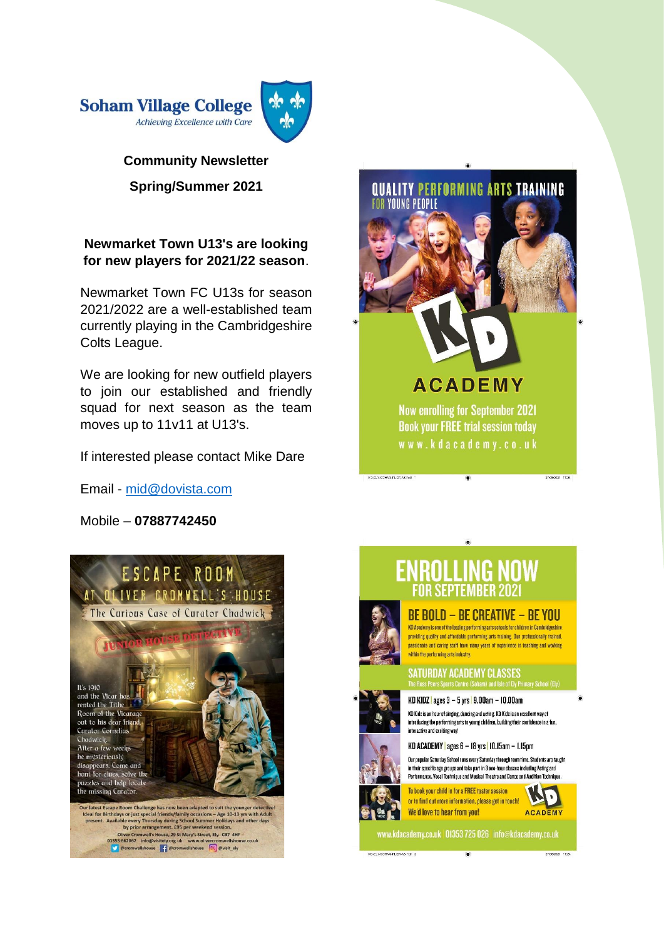

# **Community Newsletter Spring/Summer 2021**

# **Newmarket Town U13's are looking for new players for 2021/22 season**.

Newmarket Town FC U13s for season 2021/2022 are a well-established team currently playing in the Cambridgeshire Colts League.

We are looking for new outfield players to join our established and friendly squad for next season as the team moves up to 11v11 at U13's.

If interested please contact Mike Dare

Email - [mid@dovista.com](mailto:mid@dovista.com)

Mobile – **07887742450**





# ENROLLING NOW

# **BE BOLD - BE CREATIVE - BE YOU**

KD Academy is one of the leading nerforming arts schools for children in Cambridgeshire providing quality and affordable performing arts training. Our professionally trained. passionate and caring staff have many years of experience in teaching and working within the performing arts industry.

# **SATURDAY ACADEMY CLASSES**

KD KIDZ | ages 3 - 5 yrs | 9.00am - 10.00am

KD Kidz is an hour of singing, dancing and acting. KD Kidz is an excellent way of introducing the performing arts to young children, building their confidence in a fun, interactive and exciting way!

KD ACADEMY | ages 6 - 18 yrs <mark>|</mark> 10.15am - 1.15pm

Our popular Saturday School runs every Saturday through term time. Students are taught in their specific age groups and take part in 3 one-hour classes including Acting and<br>Performance, Vocal Technique and Musical Theatre and Dance and Audition Technique





www.kdacademy.co.uk 01353 725 026 info@kdacademy.co.uk

C-ELY-SCHMM-FLIER-AS hdt 2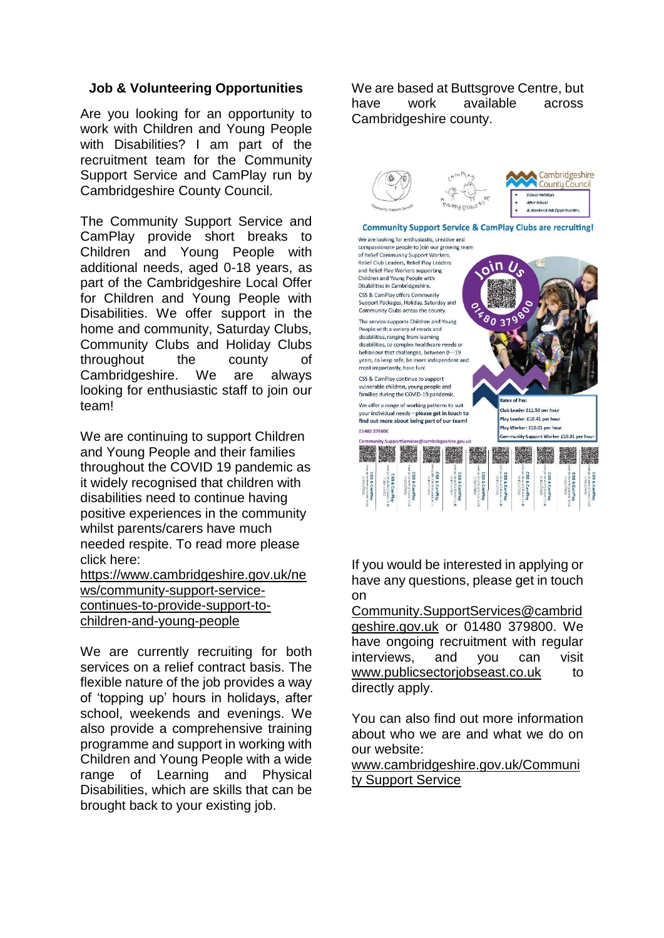#### **Job & Volunteering Opportunities**

Are you looking for an opportunity to work with Children and Young People with Disabilities? I am part of the recruitment team for the Community Support Service and CamPlay run by Cambridgeshire County Council.

The Community Support Service and CamPlay provide short breaks to Children and Young People with additional needs, aged 0-18 years, as part of the Cambridgeshire Local Offer for Children and Young People with Disabilities. We offer support in the home and community, Saturday Clubs, Community Clubs and Holiday Clubs throughout the county of Cambridgeshire. We are always looking for enthusiastic staff to join our team!

We are continuing to support Children and Young People and their families throughout the COVID 19 pandemic as it widely recognised that children with disabilities need to continue having positive experiences in the community whilst parents/carers have much needed respite. To read more please click here:

[https://www.cambridgeshire.gov.uk/ne](https://www.cambridgeshire.gov.uk/news/community-support-service-continues-to-provide-support-to-children-and-young-people) [ws/community-support-service](https://www.cambridgeshire.gov.uk/news/community-support-service-continues-to-provide-support-to-children-and-young-people)[continues-to-provide-support-to](https://www.cambridgeshire.gov.uk/news/community-support-service-continues-to-provide-support-to-children-and-young-people)[children-and-young-people](https://www.cambridgeshire.gov.uk/news/community-support-service-continues-to-provide-support-to-children-and-young-people)

We are currently recruiting for both services on a relief contract basis. The flexible nature of the job provides a way of 'topping up' hours in holidays, after school, weekends and evenings. We also provide a comprehensive training programme and support in working with Children and Young People with a wide range of Learning and Physical Disabilities, which are skills that can be brought back to your existing job.

We are based at Buttsgrove Centre, but have work available across Cambridgeshire county.



If you would be interested in applying or have any questions, please get in touch on

[Community.SupportServices@cambrid](mailto:Community.SupportServices@cambridgeshire.gov.uk) [geshire.gov.uk](mailto:Community.SupportServices@cambridgeshire.gov.uk) or 01480 379800. We have ongoing recruitment with regular interviews, and you can visit [www.publicsectorjobseast.co.uk](https://www.publicsectorjobseast.co.uk/pages/Job_Search_Results.aspx?categoryList=&minsal=0&maxsal=200000&workingpattern=37&keywords=&employee=-1&postcode=&Distance=20&AdvertiseOn=2&SortBy=title&SortDir=DESC&Pagesize=3&pageIndex=2) to directly apply.

You can also find out more information about who we are and what we do on our website:

[www.cambridgeshire.gov.uk/Communi](https://www.cambridgeshire.gov.uk/residents/children-and-families/local-offer/local-offer-care-and-family-support/community-support-service/) [ty Support Service](https://www.cambridgeshire.gov.uk/residents/children-and-families/local-offer/local-offer-care-and-family-support/community-support-service/)